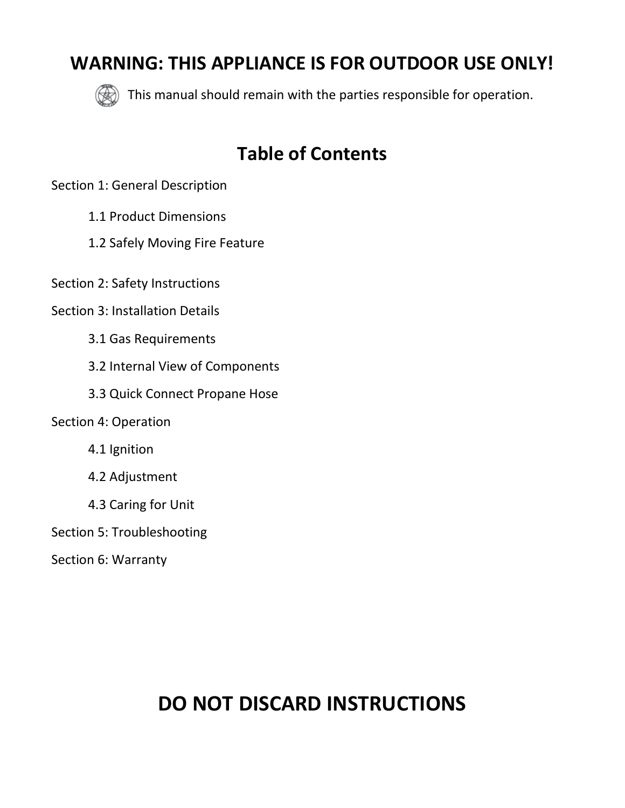# **WARNING: THIS APPLIANCE IS FOR OUTDOOR USE ONLY!**



This manual should remain with the parties responsible for operation.

# **Table of Contents**

Section 1: General Description

- 1.1 Product Dimensions
- 1.2 Safely Moving Fire Feature

Section 2: Safety Instructions

- Section 3: Installation Details
	- 3.1 Gas Requirements
	- 3.2 Internal View of Components
	- 3.3 Quick Connect Propane Hose
- Section 4: Operation
	- 4.1 Ignition
	- 4.2 Adjustment
	- 4.3 Caring for Unit
- Section 5: Troubleshooting
- Section 6: Warranty

# **DO NOT DISCARD INSTRUCTIONS**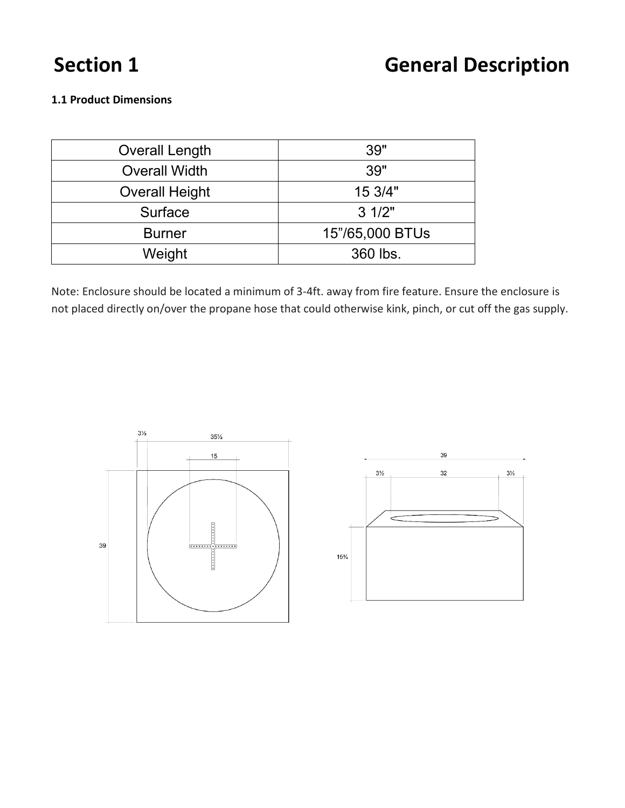# **Section 1 General Description**

# **1.1 Product Dimensions**

| <b>Overall Length</b> | 39"             |
|-----------------------|-----------------|
| <b>Overall Width</b>  | 39"             |
| <b>Overall Height</b> | 15 3/4"         |
| Surface               | $3 \frac{1}{2}$ |
| <b>Burner</b>         | 15"/65,000 BTUs |
| Weight                | 360 lbs.        |

Note: Enclosure should be located a minimum of 3-4ft. away from fire feature. Ensure the enclosure is not placed directly on/over the propane hose that could otherwise kink, pinch, or cut off the gas supply.

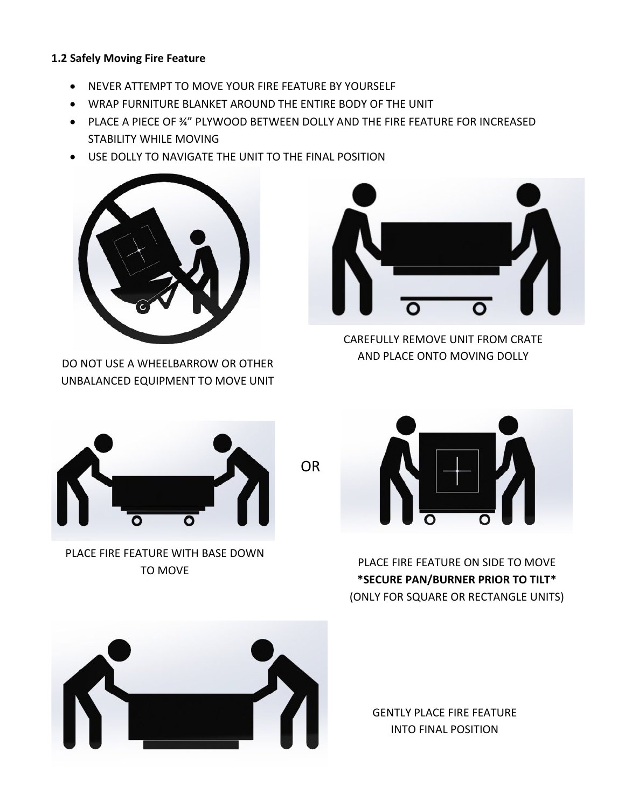# **1.2 Safely Moving Fire Feature**

- NEVER ATTEMPT TO MOVE YOUR FIRE FEATURE BY YOURSELF
- WRAP FURNITURE BLANKET AROUND THE ENTIRE BODY OF THE UNIT
- PLACE A PIECE OF ¾" PLYWOOD BETWEEN DOLLY AND THE FIRE FEATURE FOR INCREASED STABILITY WHILE MOVING
- USE DOLLY TO NAVIGATE THE UNIT TO THE FINAL POSITION



DO NOT USE A WHEELBARROW OR OTHER UNBALANCED EQUIPMENT TO MOVE UNIT



CAREFULLY REMOVE UNIT FROM CRATE AND PLACE ONTO MOVING DOLLY



PLACE FIRE FEATURE WITH BASE DOWN TO MOVE



PLACE FIRE FEATURE ON SIDE TO MOVE **\*SECURE PAN/BURNER PRIOR TO TILT\*** (ONLY FOR SQUARE OR RECTANGLE UNITS)



GENTLY PLACE FIRE FEATURE INTO FINAL POSITION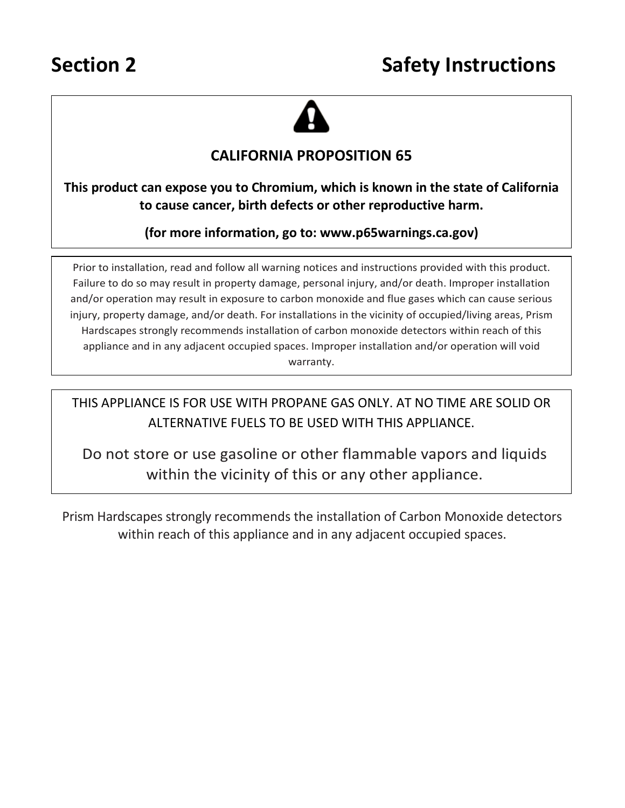

# **CALIFORNIA PROPOSITION 65**

**This product can expose you to Chromium, which is known in the state of California to cause cancer, birth defects or other reproductive harm.**

**(for more information, go to: www.p65warnings.ca.gov)**

Prior to installation, read and follow all warning notices and instructions provided with this product. Failure to do so may result in property damage, personal injury, and/or death. Improper installation and/or operation may result in exposure to carbon monoxide and flue gases which can cause serious injury, property damage, and/or death. For installations in the vicinity of occupied/living areas, Prism Hardscapes strongly recommends installation of carbon monoxide detectors within reach of this appliance and in any adjacent occupied spaces. Improper installation and/or operation will void warranty.

THIS APPLIANCE IS FOR USE WITH PROPANE GAS ONLY. AT NO TIME ARE SOLID OR ALTERNATIVE FUELS TO BE USED WITH THIS APPLIANCE.

Do not store or use gasoline or other flammable vapors and liquids within the vicinity of this or any other appliance.

Prism Hardscapes strongly recommends the installation of Carbon Monoxide detectors within reach of this appliance and in any adjacent occupied spaces.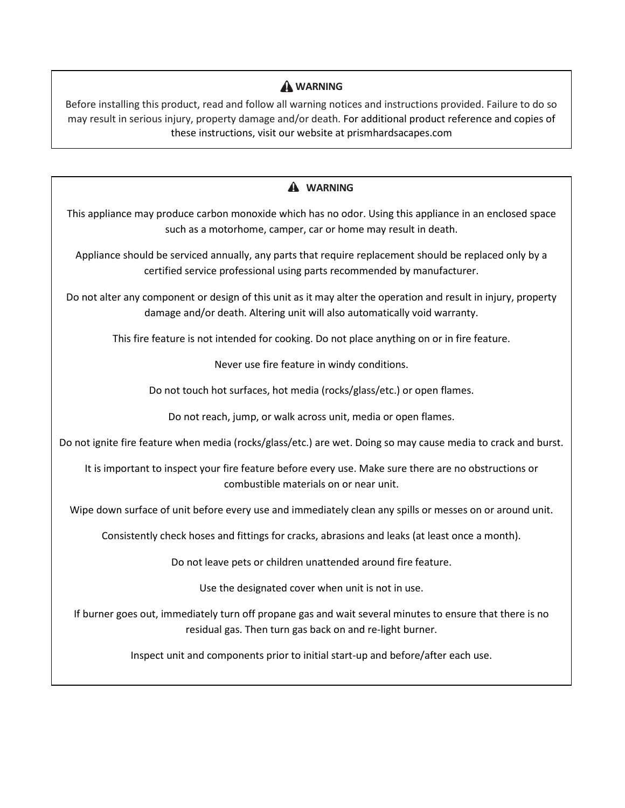# **WARNING**

Before installing this product, read and follow all warning notices and instructions provided. Failure to do so may result in serious injury, property damage and/or death. For additional product reference and copies of these instructions, visit our website at prismhardsacapes.com

# **WARNING** This appliance may produce carbon monoxide which has no odor. Using this appliance in an enclosed space such as a motorhome, camper, car or home may result in death. Appliance should be serviced annually, any parts that require replacement should be replaced only by a certified service professional using parts recommended by manufacturer. Do not alter any component or design of this unit as it may alter the operation and result in injury, property damage and/or death. Altering unit will also automatically void warranty. This fire feature is not intended for cooking. Do not place anything on or in fire feature. Never use fire feature in windy conditions. Do not touch hot surfaces, hot media (rocks/glass/etc.) or open flames. Do not reach, jump, or walk across unit, media or open flames. Do not ignite fire feature when media (rocks/glass/etc.) are wet. Doing so may cause media to crack and burst. It is important to inspect your fire feature before every use. Make sure there are no obstructions or combustible materials on or near unit. Wipe down surface of unit before every use and immediately clean any spills or messes on or around unit. Consistently check hoses and fittings for cracks, abrasions and leaks (at least once a month). Do not leave pets or children unattended around fire feature. Use the designated cover when unit is not in use. If burner goes out, immediately turn off propane gas and wait several minutes to ensure that there is no residual gas. Then turn gas back on and re-light burner. Inspect unit and components prior to initial start-up and before/after each use.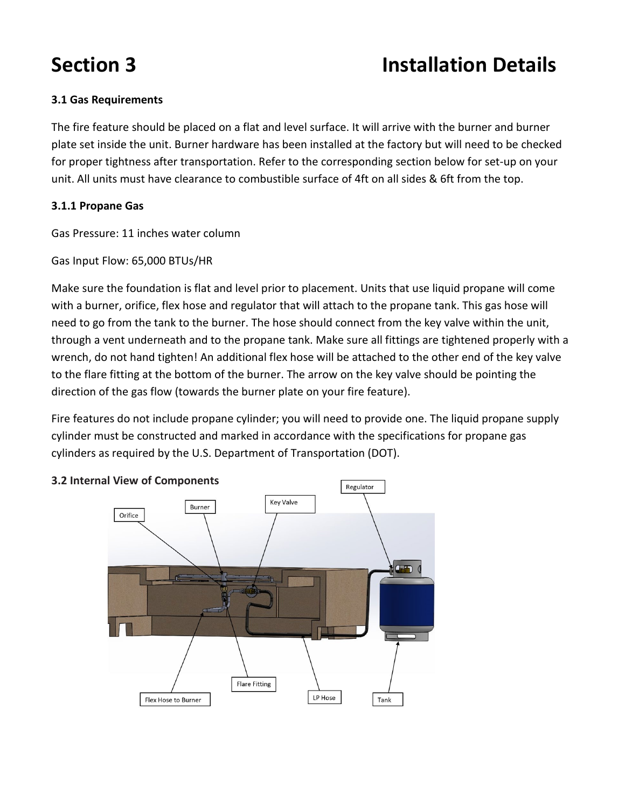# **Section 3 Installation Details**

# **3.1 Gas Requirements**

The fire feature should be placed on a flat and level surface. It will arrive with the burner and burner plate set inside the unit. Burner hardware has been installed at the factory but will need to be checked for proper tightness after transportation. Refer to the corresponding section below for set-up on your unit. All units must have clearance to combustible surface of 4ft on all sides & 6ft from the top.

# **3.1.1 Propane Gas**

Gas Pressure: 11 inches water column

Gas Input Flow: 65,000 BTUs/HR

Make sure the foundation is flat and level prior to placement. Units that use liquid propane will come with a burner, orifice, flex hose and regulator that will attach to the propane tank. This gas hose will need to go from the tank to the burner. The hose should connect from the key valve within the unit, through a vent underneath and to the propane tank. Make sure all fittings are tightened properly with a wrench, do not hand tighten! An additional flex hose will be attached to the other end of the key valve to the flare fitting at the bottom of the burner. The arrow on the key valve should be pointing the direction of the gas flow (towards the burner plate on your fire feature).

Fire features do not include propane cylinder; you will need to provide one. The liquid propane supply cylinder must be constructed and marked in accordance with the specifications for propane gas cylinders as required by the U.S. Department of Transportation (DOT).



# **3.2 Internal View of Components**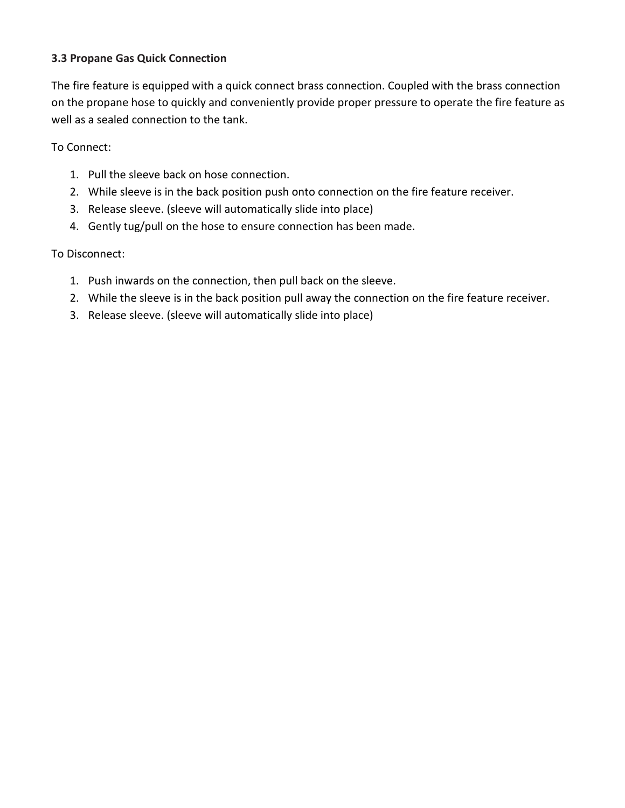# **3.3 Propane Gas Quick Connection**

The fire feature is equipped with a quick connect brass connection. Coupled with the brass connection on the propane hose to quickly and conveniently provide proper pressure to operate the fire feature as well as a sealed connection to the tank.

To Connect:

- 1. Pull the sleeve back on hose connection.
- 2. While sleeve is in the back position push onto connection on the fire feature receiver.
- 3. Release sleeve. (sleeve will automatically slide into place)
- 4. Gently tug/pull on the hose to ensure connection has been made.

## To Disconnect:

- 1. Push inwards on the connection, then pull back on the sleeve.
- 2. While the sleeve is in the back position pull away the connection on the fire feature receiver.
- 3. Release sleeve. (sleeve will automatically slide into place)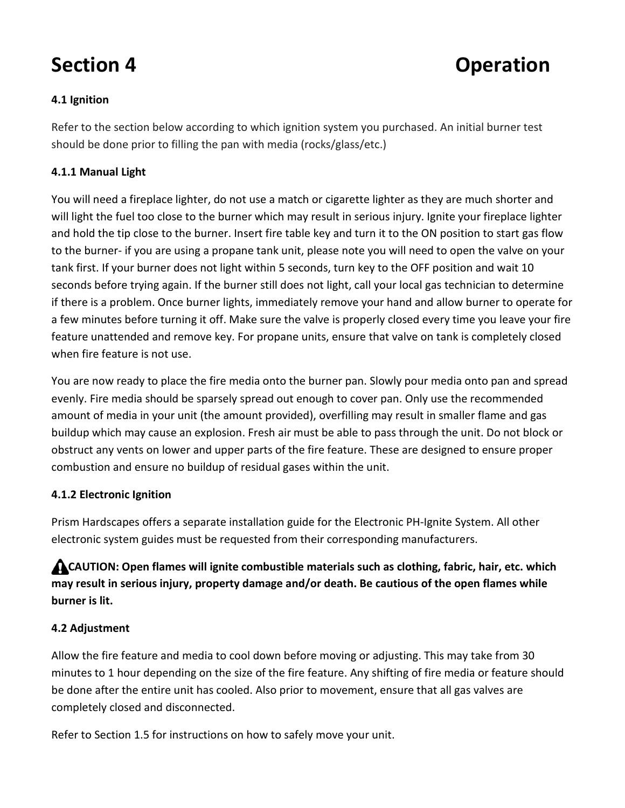# **Section 4 Departion**

# **4.1 Ignition**

Refer to the section below according to which ignition system you purchased. An initial burner test should be done prior to filling the pan with media (rocks/glass/etc.)

# **4.1.1 Manual Light**

You will need a fireplace lighter, do not use a match or cigarette lighter as they are much shorter and will light the fuel too close to the burner which may result in serious injury. Ignite your fireplace lighter and hold the tip close to the burner. Insert fire table key and turn it to the ON position to start gas flow to the burner- if you are using a propane tank unit, please note you will need to open the valve on your tank first. If your burner does not light within 5 seconds, turn key to the OFF position and wait 10 seconds before trying again. If the burner still does not light, call your local gas technician to determine if there is a problem. Once burner lights, immediately remove your hand and allow burner to operate for a few minutes before turning it off. Make sure the valve is properly closed every time you leave your fire feature unattended and remove key. For propane units, ensure that valve on tank is completely closed when fire feature is not use.

You are now ready to place the fire media onto the burner pan. Slowly pour media onto pan and spread evenly. Fire media should be sparsely spread out enough to cover pan. Only use the recommended amount of media in your unit (the amount provided), overfilling may result in smaller flame and gas buildup which may cause an explosion. Fresh air must be able to pass through the unit. Do not block or obstruct any vents on lower and upper parts of the fire feature. These are designed to ensure proper combustion and ensure no buildup of residual gases within the unit.

# **4.1.2 Electronic Ignition**

Prism Hardscapes offers a separate installation guide for the Electronic PH-Ignite System. All other electronic system guides must be requested from their corresponding manufacturers.

 **CAUTION: Open flames will ignite combustible materials such as clothing, fabric, hair, etc. which may result in serious injury, property damage and/or death. Be cautious of the open flames while burner is lit.**

# **4.2 Adjustment**

Allow the fire feature and media to cool down before moving or adjusting. This may take from 30 minutes to 1 hour depending on the size of the fire feature. Any shifting of fire media or feature should be done after the entire unit has cooled. Also prior to movement, ensure that all gas valves are completely closed and disconnected.

Refer to Section 1.5 for instructions on how to safely move your unit.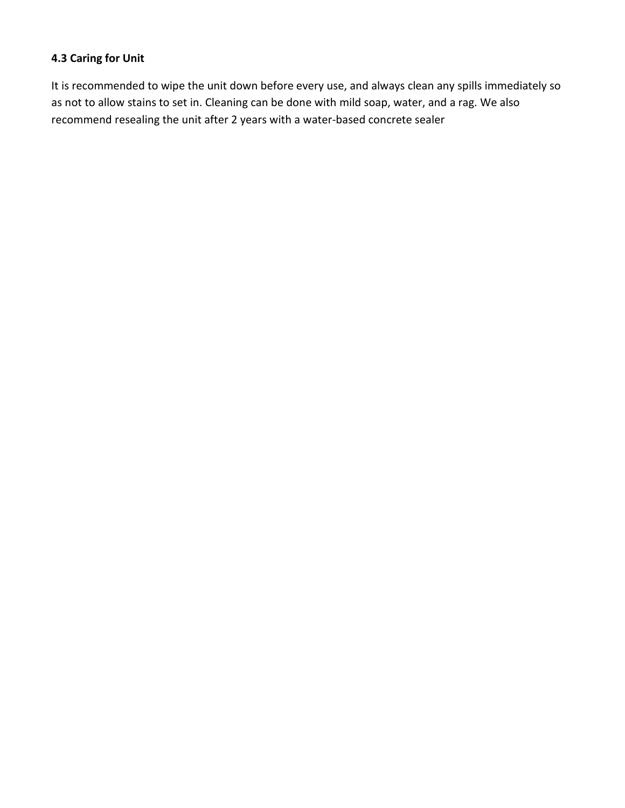# **4.3 Caring for Unit**

It is recommended to wipe the unit down before every use, and always clean any spills immediately so as not to allow stains to set in. Cleaning can be done with mild soap, water, and a rag. We also recommend resealing the unit after 2 years with a water-based concrete sealer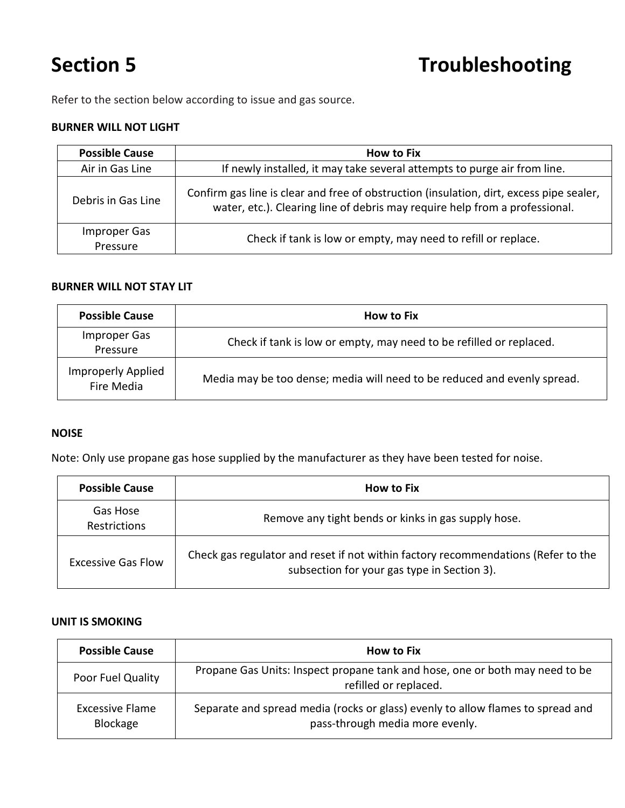Refer to the section below according to issue and gas source.

## **BURNER WILL NOT LIGHT**

| <b>Possible Cause</b>    | <b>How to Fix</b>                                                                                                                                                       |
|--------------------------|-------------------------------------------------------------------------------------------------------------------------------------------------------------------------|
| Air in Gas Line          | If newly installed, it may take several attempts to purge air from line.                                                                                                |
| Debris in Gas Line       | Confirm gas line is clear and free of obstruction (insulation, dirt, excess pipe sealer,<br>water, etc.). Clearing line of debris may require help from a professional. |
| Improper Gas<br>Pressure | Check if tank is low or empty, may need to refill or replace.                                                                                                           |

## **BURNER WILL NOT STAY LIT**

| <b>Possible Cause</b>                   | <b>How to Fix</b>                                                        |
|-----------------------------------------|--------------------------------------------------------------------------|
| Improper Gas<br>Pressure                | Check if tank is low or empty, may need to be refilled or replaced.      |
| <b>Improperly Applied</b><br>Fire Media | Media may be too dense; media will need to be reduced and evenly spread. |

## **NOISE**

Note: Only use propane gas hose supplied by the manufacturer as they have been tested for noise.

| <b>Possible Cause</b>           | <b>How to Fix</b>                                                                                                                |
|---------------------------------|----------------------------------------------------------------------------------------------------------------------------------|
| Gas Hose<br><b>Restrictions</b> | Remove any tight bends or kinks in gas supply hose.                                                                              |
| Excessive Gas Flow              | Check gas regulator and reset if not within factory recommendations (Refer to the<br>subsection for your gas type in Section 3). |

## **UNIT IS SMOKING**

| <b>Possible Cause</b>       | <b>How to Fix</b>                                                                                                  |
|-----------------------------|--------------------------------------------------------------------------------------------------------------------|
| Poor Fuel Quality           | Propane Gas Units: Inspect propane tank and hose, one or both may need to be<br>refilled or replaced.              |
| Excessive Flame<br>Blockage | Separate and spread media (rocks or glass) evenly to allow flames to spread and<br>pass-through media more evenly. |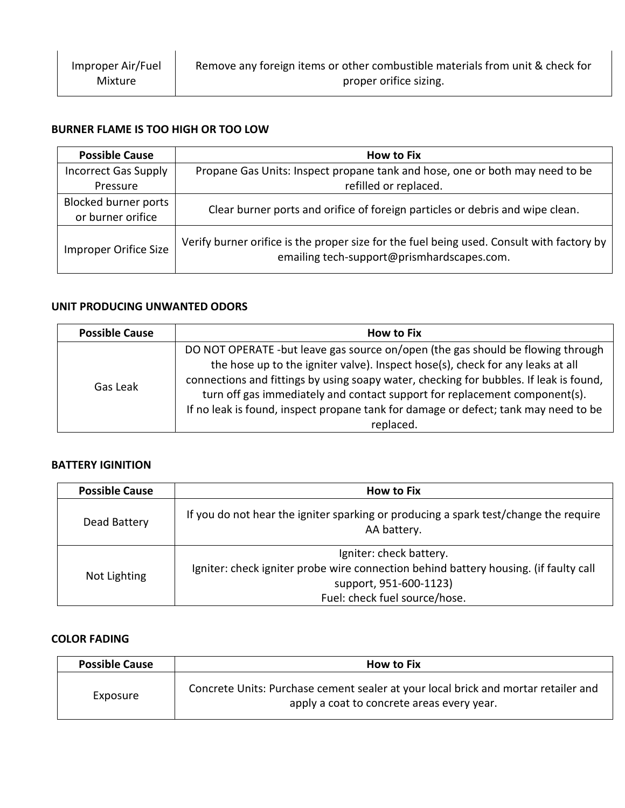## **BURNER FLAME IS TOO HIGH OR TOO LOW**

| <b>Possible Cause</b>                            | <b>How to Fix</b>                                                                                                                       |
|--------------------------------------------------|-----------------------------------------------------------------------------------------------------------------------------------------|
| <b>Incorrect Gas Supply</b><br>Pressure          | Propane Gas Units: Inspect propane tank and hose, one or both may need to be<br>refilled or replaced.                                   |
| <b>Blocked burner ports</b><br>or burner orifice | Clear burner ports and orifice of foreign particles or debris and wipe clean.                                                           |
| Improper Orifice Size                            | Verify burner orifice is the proper size for the fuel being used. Consult with factory by<br>emailing tech-support@prismhardscapes.com. |

## **UNIT PRODUCING UNWANTED ODORS**

| <b>Possible Cause</b> | <b>How to Fix</b>                                                                      |
|-----------------------|----------------------------------------------------------------------------------------|
| Gas Leak              | DO NOT OPERATE -but leave gas source on/open (the gas should be flowing through        |
|                       | the hose up to the igniter valve). Inspect hose(s), check for any leaks at all         |
|                       | connections and fittings by using soapy water, checking for bubbles. If leak is found, |
|                       | turn off gas immediately and contact support for replacement component(s).             |
|                       | If no leak is found, inspect propane tank for damage or defect; tank may need to be    |
|                       | replaced.                                                                              |

# **BATTERY IGINITION**

| <b>Possible Cause</b> | <b>How to Fix</b>                                                                                   |
|-----------------------|-----------------------------------------------------------------------------------------------------|
| Dead Battery          | If you do not hear the igniter sparking or producing a spark test/change the require<br>AA battery. |
| Not Lighting          | Igniter: check battery.                                                                             |
|                       | Igniter: check igniter probe wire connection behind battery housing. (if faulty call                |
|                       | support, 951-600-1123)                                                                              |
|                       | Fuel: check fuel source/hose.                                                                       |

## **COLOR FADING**

| <b>Possible Cause</b> | <b>How to Fix</b>                                                                                                                |
|-----------------------|----------------------------------------------------------------------------------------------------------------------------------|
| Exposure              | Concrete Units: Purchase cement sealer at your local brick and mortar retailer and<br>apply a coat to concrete areas every year. |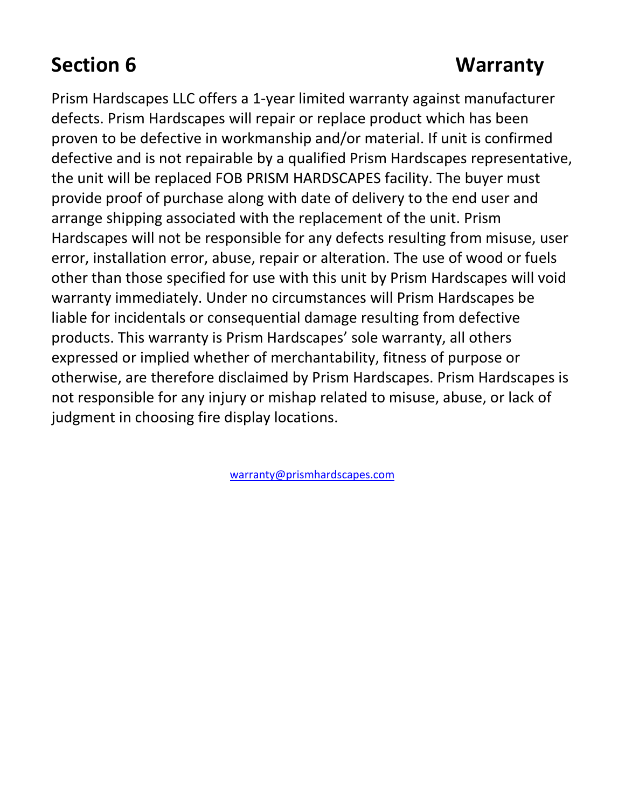# **Section 6 Warranty**

Prism Hardscapes LLC offers a 1-year limited warranty against manufacturer defects. Prism Hardscapes will repair or replace product which has been proven to be defective in workmanship and/or material. If unit is confirmed defective and is not repairable by a qualified Prism Hardscapes representative, the unit will be replaced FOB PRISM HARDSCAPES facility. The buyer must provide proof of purchase along with date of delivery to the end user and arrange shipping associated with the replacement of the unit. Prism Hardscapes will not be responsible for any defects resulting from misuse, user error, installation error, abuse, repair or alteration. The use of wood or fuels other than those specified for use with this unit by Prism Hardscapes will void warranty immediately. Under no circumstances will Prism Hardscapes be liable for incidentals or consequential damage resulting from defective products. This warranty is Prism Hardscapes' sole warranty, all others expressed or implied whether of merchantability, fitness of purpose or otherwise, are therefore disclaimed by Prism Hardscapes. Prism Hardscapes is not responsible for any injury or mishap related to misuse, abuse, or lack of judgment in choosing fire display locations.

[warranty@prismhardscapes.com](mailto:warranty@prismhardscapes.com)